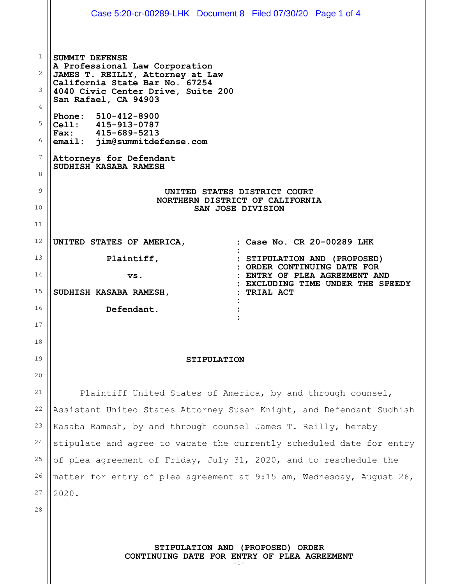|              | Case 5:20-cr-00289-LHK Document 8 Filed 07/30/20 Page 1 of 4                                                                          |                                                                    |
|--------------|---------------------------------------------------------------------------------------------------------------------------------------|--------------------------------------------------------------------|
|              |                                                                                                                                       |                                                                    |
| $\mathbf{1}$ | <b>SUMMIT DEFENSE</b><br>A Professional Law Corporation                                                                               |                                                                    |
| 2<br>3       | JAMES T. REILLY, Attorney at Law<br>California State Bar No. 67254<br>4040 Civic Center Drive, Suite 200<br>San Rafael, CA 94903      |                                                                    |
| 4            |                                                                                                                                       |                                                                    |
| 5<br>6       | Phone: 510-412-8900<br>Cell: 415-913-0787<br>Fax: 415-689-5213<br>email: jim@summitdefense.com                                        |                                                                    |
| 7<br>8       | Attorneys for Defendant<br>SUDHISH KASABA RAMESH                                                                                      |                                                                    |
| 9            | UNITED STATES DISTRICT COURT                                                                                                          |                                                                    |
| 10           | NORTHERN DISTRICT OF CALIFORNIA<br>SAN JOSE DIVISION                                                                                  |                                                                    |
| 11           |                                                                                                                                       |                                                                    |
| 12           | UNITED STATES OF AMERICA,                                                                                                             | : Case No. CR 20-00289 LHK                                         |
| 13           | Plaintiff,                                                                                                                            | : STIPULATION AND (PROPOSED)<br>: ORDER CONTINUING DATE FOR        |
| 14           | VS.                                                                                                                                   | : ENTRY OF PLEA AGREEMENT AND<br>: EXCLUDING TIME UNDER THE SPEEDY |
| 15           | SUDHISH KASABA RAMESH,                                                                                                                | : TRIAL ACT                                                        |
| 16           | Defendant.                                                                                                                            |                                                                    |
| 17           |                                                                                                                                       |                                                                    |
| 18           |                                                                                                                                       |                                                                    |
| 19           | <b>STIPULATION</b>                                                                                                                    |                                                                    |
| 20           |                                                                                                                                       |                                                                    |
| 21<br>22     | Plaintiff United States of America, by and through counsel,                                                                           |                                                                    |
| 23           | Assistant United States Attorney Susan Knight, and Defendant Sudhish                                                                  |                                                                    |
| 24           | Kasaba Ramesh, by and through counsel James T. Reilly, hereby<br>stipulate and agree to vacate the currently scheduled date for entry |                                                                    |
| 25           | of plea agreement of Friday, July 31, 2020, and to reschedule the                                                                     |                                                                    |
| 26           | matter for entry of plea agreement at 9:15 am, Wednesday, August 26,                                                                  |                                                                    |
| 27           | 2020.                                                                                                                                 |                                                                    |
| 28           |                                                                                                                                       |                                                                    |
|              |                                                                                                                                       |                                                                    |
|              | STIPULATION AND (PROPOSED) ORDER                                                                                                      |                                                                    |

**CONTINUING DATE FOR ENTRY OF PLEA AGREEMENT**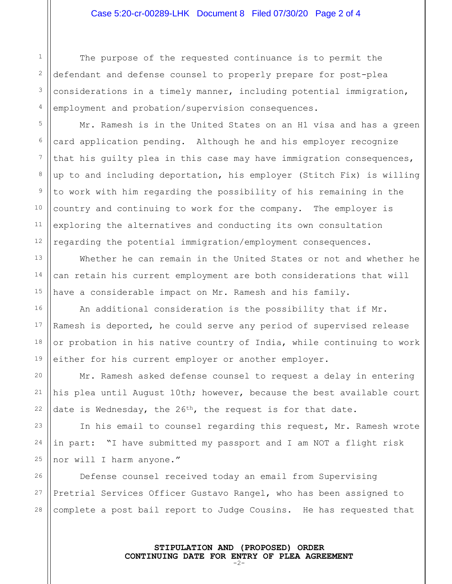The purpose of the requested continuance is to permit the defendant and defense counsel to properly prepare for post-plea considerations in a timely manner, including potential immigration, employment and probation/supervision consequences.

Mr. Ramesh is in the United States on an H1 visa and has a green card application pending. Although he and his employer recognize that his guilty plea in this case may have immigration consequences, up to and including deportation, his employer (Stitch Fix) is willing to work with him regarding the possibility of his remaining in the country and continuing to work for the company. The employer is exploring the alternatives and conducting its own consultation regarding the potential immigration/employment consequences.

Whether he can remain in the United States or not and whether he can retain his current employment are both considerations that will have a considerable impact on Mr. Ramesh and his family.

An additional consideration is the possibility that if Mr. Ramesh is deported, he could serve any period of supervised release or probation in his native country of India, while continuing to work either for his current employer or another employer.

Mr. Ramesh asked defense counsel to request a delay in entering his plea until August 10th; however, because the best available court date is Wednesday, the 26<sup>th</sup>, the request is for that date.

In his email to counsel regarding this request, Mr. Ramesh wrote in part: "I have submitted my passport and I am NOT a flight risk nor will I harm anyone."

28 Defense counsel received today an email from Supervising Pretrial Services Officer Gustavo Rangel, who has been assigned to complete a post bail report to Judge Cousins. He has requested that

> **STIPULATION AND (PROPOSED) ORDER CONTINUING DATE FOR ENTRY OF PLEA AGREEMENT** -2-

1

2

3

4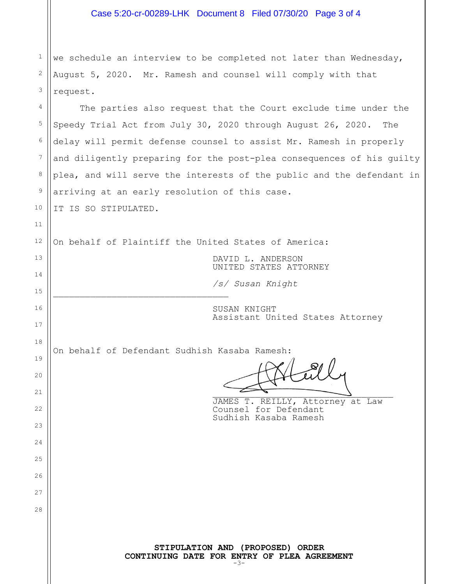|              | Case 5:20-cr-00289-LHK Document 8 Filed 07/30/20 Page 3 of 4                             |  |
|--------------|------------------------------------------------------------------------------------------|--|
|              |                                                                                          |  |
| $\mathbf{1}$ | we schedule an interview to be completed not later than Wednesday,                       |  |
| 2            | August 5, 2020. Mr. Ramesh and counsel will comply with that                             |  |
| 3            | request.                                                                                 |  |
| 4            | The parties also request that the Court exclude time under the                           |  |
| 5            | Speedy Trial Act from July 30, 2020 through August 26, 2020. The                         |  |
| 6            | delay will permit defense counsel to assist Mr. Ramesh in properly                       |  |
| 7            | and diligently preparing for the post-plea consequences of his guilty                    |  |
| 8            | plea, and will serve the interests of the public and the defendant in                    |  |
| 9            | arriving at an early resolution of this case.                                            |  |
| 10           | IT IS SO STIPULATED.                                                                     |  |
| 11           |                                                                                          |  |
| 12           | On behalf of Plaintiff the United States of America:                                     |  |
| 13           | DAVID L. ANDERSON<br>UNITED STATES ATTORNEY                                              |  |
| 14           | /s/ Susan Knight                                                                         |  |
| 15           |                                                                                          |  |
| 16           | SUSAN KNIGHT<br>Assistant United States Attorney                                         |  |
| 17           |                                                                                          |  |
| 18           | On behalf of Defendant Sudhish Kasaba Ramesh:                                            |  |
| 19           |                                                                                          |  |
| 20           |                                                                                          |  |
| 21<br>22     | JAMES T. REILLY, Attorney at Law                                                         |  |
| 23           | Counsel for Defendant<br>Sudhish Kasaba Ramesh                                           |  |
| 24           |                                                                                          |  |
| 25           |                                                                                          |  |
| 26           |                                                                                          |  |
| 27           |                                                                                          |  |
| 28           |                                                                                          |  |
|              |                                                                                          |  |
|              | STIPULATION AND (PROPOSED) ORDER<br>CONTINUING DATE FOR ENTRY OF PLEA AGREEMENT<br>$-3-$ |  |